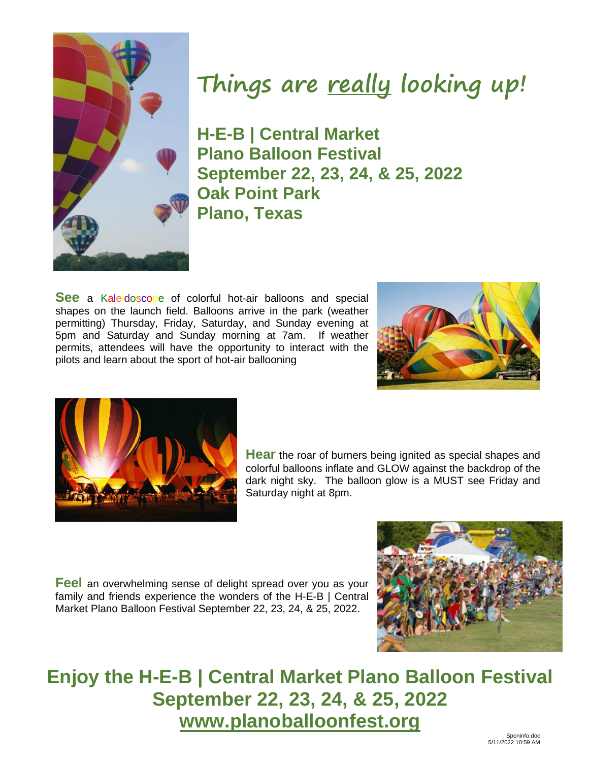

# **Things are really looking up!**

**H-E-B | Central Market Plano Balloon Festival September 22, 23, 24, & 25, 2022 Oak Point Park Plano, Texas**

**See** a Kaleidoscope of colorful hot-air balloons and special shapes on the launch field. Balloons arrive in the park (weather permitting) Thursday, Friday, Saturday, and Sunday evening at 5pm and Saturday and Sunday morning at 7am. If weather permits, attendees will have the opportunity to interact with the pilots and learn about the sport of hot-air ballooning





**Hear** the roar of burners being ignited as special shapes and colorful balloons inflate and GLOW against the backdrop of the dark night sky. The balloon glow is a MUST see Friday and Saturday night at 8pm.

**Feel** an overwhelming sense of delight spread over you as your family and friends experience the wonders of the H-E-B | Central Market Plano Balloon Festival September 22, 23, 24, & 25, 2022.



## **Enjoy the H-E-B | Central Market Plano Balloon Festival September 22, 23, 24, & 25, 2022 [www.planoballoonfest.org](http://www.planoballoonfest.org/)**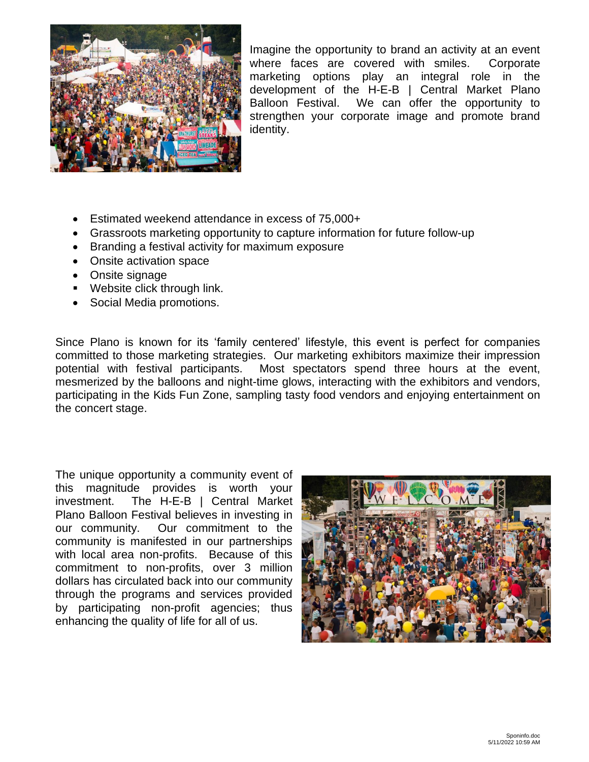

Imagine the opportunity to brand an activity at an event where faces are covered with smiles. Corporate marketing options play an integral role in the development of the H-E-B | Central Market Plano Balloon Festival. We can offer the opportunity to strengthen your corporate image and promote brand identity.

- Estimated weekend attendance in excess of 75,000+
- Grassroots marketing opportunity to capture information for future follow-up
- Branding a festival activity for maximum exposure
- Onsite activation space
- Onsite signage
- Website click through link.
- Social Media promotions.

Since Plano is known for its 'family centered' lifestyle, this event is perfect for companies committed to those marketing strategies. Our marketing exhibitors maximize their impression potential with festival participants. Most spectators spend three hours at the event, mesmerized by the balloons and night-time glows, interacting with the exhibitors and vendors, participating in the Kids Fun Zone, sampling tasty food vendors and enjoying entertainment on the concert stage.

The unique opportunity a community event of this magnitude provides is worth your investment. The H-E-B | Central Market Plano Balloon Festival believes in investing in our community. Our commitment to the community is manifested in our partnerships with local area non-profits. Because of this commitment to non-profits, over 3 million dollars has circulated back into our community through the programs and services provided by participating non-profit agencies; thus enhancing the quality of life for all of us.

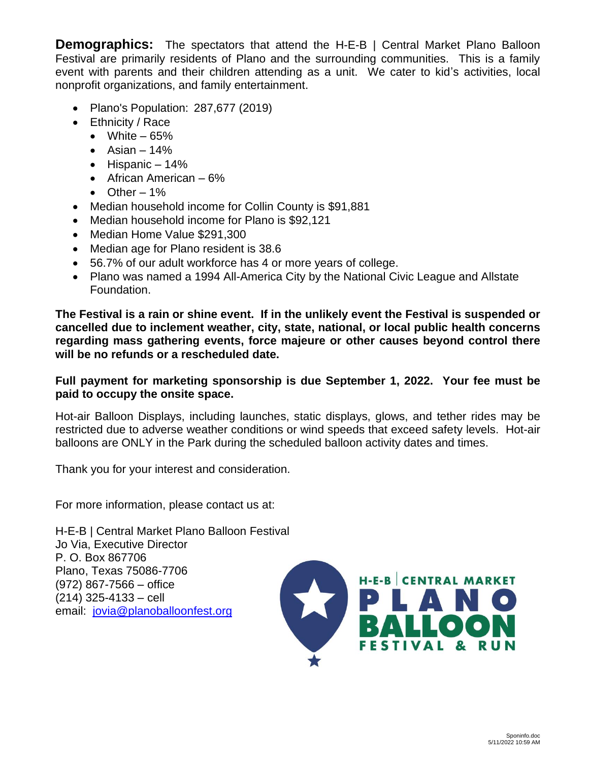**Demographics:** The spectators that attend the H-E-B | Central Market Plano Balloon Festival are primarily residents of Plano and the surrounding communities. This is a family event with parents and their children attending as a unit. We cater to kid's activities, local nonprofit organizations, and family entertainment.

- Plano's Population: 287,677 (2019)
- Ethnicity / Race
	- White  $-65%$
	- Asian  $-14%$
	- $\bullet$  Hispanic 14%
	- African American 6%
	- $\bullet$  Other 1%
- Median household income for Collin County is \$91,881
- Median household income for Plano is \$92,121
- Median Home Value \$291,300
- Median age for Plano resident is 38.6
- 56.7% of our adult workforce has 4 or more years of college.
- Plano was named a 1994 All-America City by the National Civic League and Allstate Foundation.

**The Festival is a rain or shine event. If in the unlikely event the Festival is suspended or cancelled due to inclement weather, city, state, national, or local public health concerns regarding mass gathering events, force majeure or other causes beyond control there will be no refunds or a rescheduled date.**

## **Full payment for marketing sponsorship is due September 1, 2022. Your fee must be paid to occupy the onsite space.**

Hot-air Balloon Displays, including launches, static displays, glows, and tether rides may be restricted due to adverse weather conditions or wind speeds that exceed safety levels. Hot-air balloons are ONLY in the Park during the scheduled balloon activity dates and times.

Thank you for your interest and consideration.

For more information, please contact us at:

H-E-B | Central Market Plano Balloon Festival Jo Via, Executive Director P. O. Box 867706 Plano, Texas 75086-7706 (972) 867-7566 – office (214) 325-4133 – cell email: [jovia@planoballoonfest.org](mailto:jovia@planoballoonfest.org)

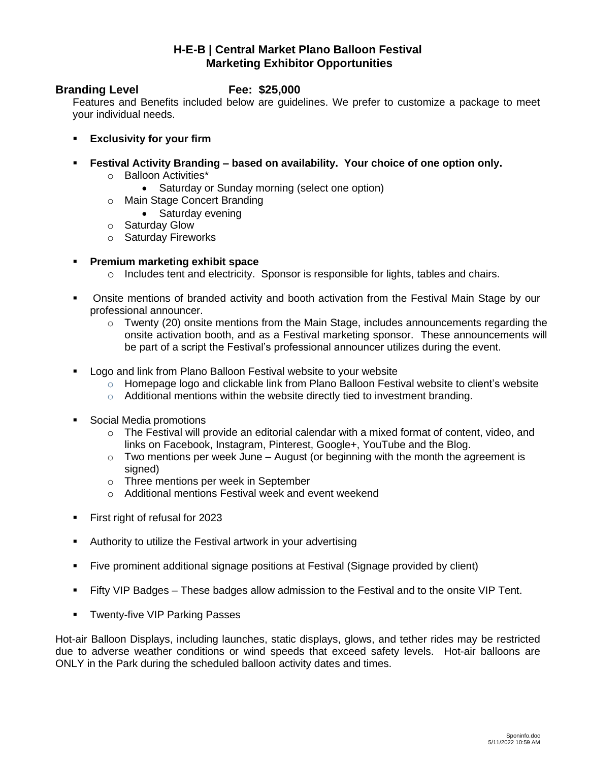## **H-E-B | Central Market Plano Balloon Festival Marketing Exhibitor Opportunities**

## **Branding Level Fee: \$25,000**

Features and Benefits included below are guidelines. We prefer to customize a package to meet your individual needs.

- **Exclusivity for your firm**
- **Festival Activity Branding – based on availability. Your choice of one option only.**
	- o Balloon Activities\*
		- Saturday or Sunday morning (select one option)
	- o Main Stage Concert Branding
		- Saturday evening
	- o Saturday Glow
	- o Saturday Fireworks

## ▪ **Premium marketing exhibit space**

- $\circ$  Includes tent and electricity. Sponsor is responsible for lights, tables and chairs.
- **•** Onsite mentions of branded activity and booth activation from the Festival Main Stage by our professional announcer.
	- o Twenty (20) onsite mentions from the Main Stage, includes announcements regarding the onsite activation booth, and as a Festival marketing sponsor. These announcements will be part of a script the Festival's professional announcer utilizes during the event.
- Logo and link from Plano Balloon Festival website to your website
	- $\circ$  Homepage logo and clickable link from Plano Balloon Festival website to client's website
	- $\circ$  Additional mentions within the website directly tied to investment branding.
- Social Media promotions
	- $\circ$  The Festival will provide an editorial calendar with a mixed format of content, video, and links on Facebook, Instagram, Pinterest, Google+, YouTube and the Blog.
	- $\circ$  Two mentions per week June August (or beginning with the month the agreement is signed)
	- o Three mentions per week in September
	- o Additional mentions Festival week and event weekend
- First right of refusal for 2023
- Authority to utilize the Festival artwork in your advertising
- Five prominent additional signage positions at Festival (Signage provided by client)
- **EXTERGHT FIFTY VIP Badges These badges allow admission to the Festival and to the onsite VIP Tent.**
- **E** Twenty-five VIP Parking Passes

Hot-air Balloon Displays, including launches, static displays, glows, and tether rides may be restricted due to adverse weather conditions or wind speeds that exceed safety levels. Hot-air balloons are ONLY in the Park during the scheduled balloon activity dates and times.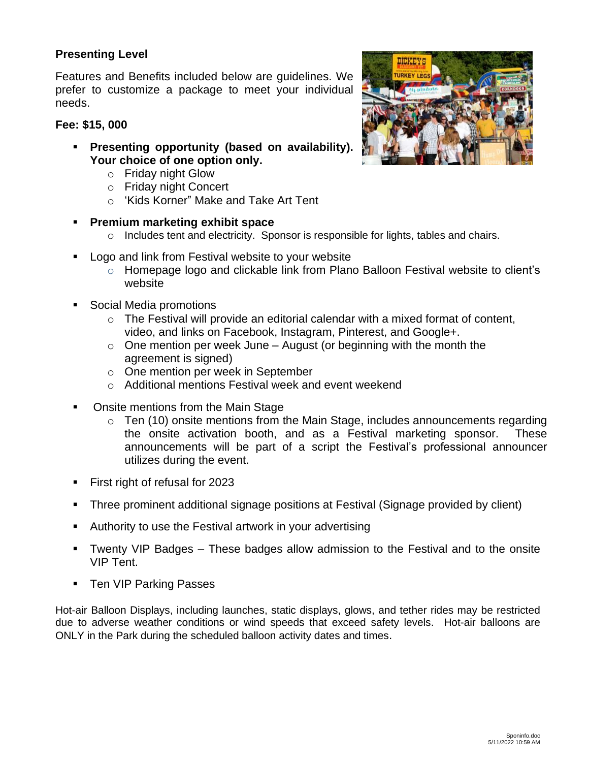## **Presenting Level**

Features and Benefits included below are guidelines. We prefer to customize a package to meet your individual needs.

## **Fee: \$15, 000**

- **Presenting opportunity (based on availability). Your choice of one option only.**
	- o Friday night Glow
	- o Friday night Concert
	- o 'Kids Korner" Make and Take Art Tent
- **Premium marketing exhibit space**
	- $\circ$  Includes tent and electricity. Sponsor is responsible for lights, tables and chairs.
- Logo and link from Festival website to your website
	- o Homepage logo and clickable link from Plano Balloon Festival website to client's website
- Social Media promotions
	- $\circ$  The Festival will provide an editorial calendar with a mixed format of content, video, and links on Facebook, Instagram, Pinterest, and Google+.
	- $\circ$  One mention per week June August (or beginning with the month the agreement is signed)
	- o One mention per week in September
	- o Additional mentions Festival week and event weekend
- Onsite mentions from the Main Stage
	- $\circ$  Ten (10) onsite mentions from the Main Stage, includes announcements regarding the onsite activation booth, and as a Festival marketing sponsor. These announcements will be part of a script the Festival's professional announcer utilizes during the event.
- First right of refusal for 2023
- **•** Three prominent additional signage positions at Festival (Signage provided by client)
- Authority to use the Festival artwork in your advertising
- Twenty VIP Badges These badges allow admission to the Festival and to the onsite VIP Tent.
- Ten VIP Parking Passes

Hot-air Balloon Displays, including launches, static displays, glows, and tether rides may be restricted due to adverse weather conditions or wind speeds that exceed safety levels. Hot-air balloons are ONLY in the Park during the scheduled balloon activity dates and times.

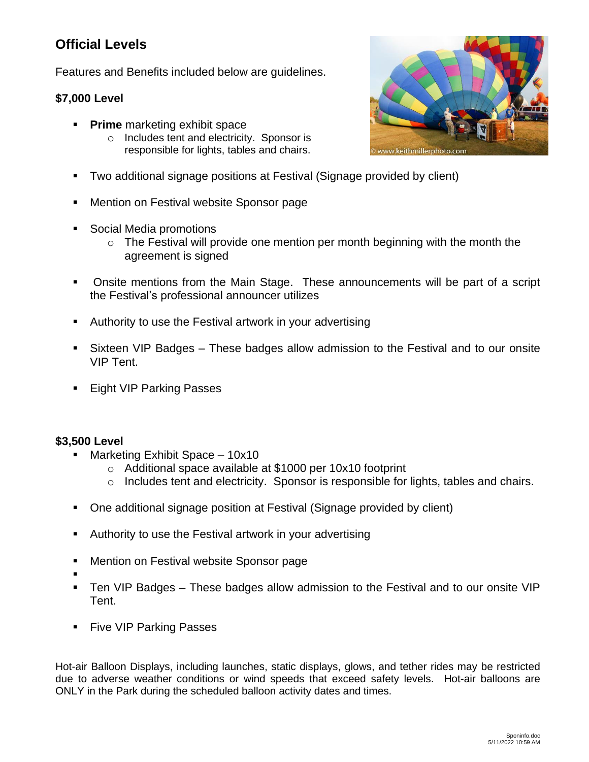## **Official Levels**

Features and Benefits included below are guidelines.

## **\$7,000 Level**

- **Prime** marketing exhibit space
	- o Includes tent and electricity. Sponsor is responsible for lights, tables and chairs.
- Two additional signage positions at Festival (Signage provided by client)
- Mention on Festival website Sponsor page
- Social Media promotions
	- $\circ$  The Festival will provide one mention per month beginning with the month the agreement is signed
- Onsite mentions from the Main Stage. These announcements will be part of a script the Festival's professional announcer utilizes
- Authority to use the Festival artwork in your advertising
- Sixteen VIP Badges These badges allow admission to the Festival and to our onsite VIP Tent.
- Eight VIP Parking Passes

## **\$3,500 Level**

- Marketing Exhibit Space  $-10x10$ 
	- o Additional space available at \$1000 per 10x10 footprint
	- o Includes tent and electricity. Sponsor is responsible for lights, tables and chairs.
- One additional signage position at Festival (Signage provided by client)
- Authority to use the Festival artwork in your advertising
- Mention on Festival website Sponsor page
- ▪
- Ten VIP Badges These badges allow admission to the Festival and to our onsite VIP Tent.
- Five VIP Parking Passes

Hot-air Balloon Displays, including launches, static displays, glows, and tether rides may be restricted due to adverse weather conditions or wind speeds that exceed safety levels. Hot-air balloons are ONLY in the Park during the scheduled balloon activity dates and times.